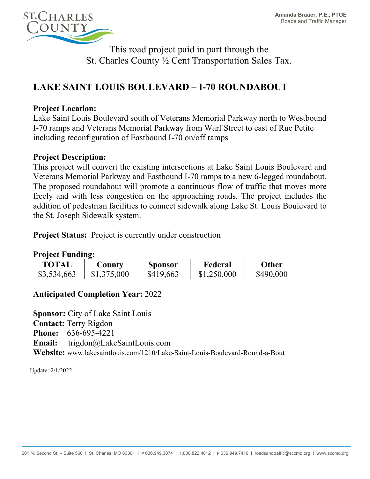

This road project paid in part through the St. Charles County ½ Cent Transportation Sales Tax.

# **LAKE SAINT LOUIS BOULEVARD – I-70 ROUNDABOUT**

## **Project Location:**

Lake Saint Louis Boulevard south of Veterans Memorial Parkway north to Westbound I-70 ramps and Veterans Memorial Parkway from Warf Street to east of Rue Petite including reconfiguration of Eastbound I-70 on/off ramps

#### **Project Description:**

This project will convert the existing intersections at Lake Saint Louis Boulevard and Veterans Memorial Parkway and Eastbound I-70 ramps to a new 6-legged roundabout. The proposed roundabout will promote a continuous flow of traffic that moves more freely and with less congestion on the approaching roads. The project includes the addition of pedestrian facilities to connect sidewalk along Lake St. Louis Boulevard to the St. Joseph Sidewalk system.

**Project Status:** Project is currently under construction

#### **Project Funding:**

| TOTAL       | $\mathbf$ $\mathbf{\mathbf{C} }$ ounty | <b>Sponsor</b> | Federal     | <b>Other</b> |
|-------------|----------------------------------------|----------------|-------------|--------------|
| \$3,534,663 | \$1,375,000                            | \$419,663      | \$1,250,000 | \$490,000    |

## **Anticipated Completion Year:** 2022

**Sponsor:** City of Lake Saint Louis **Contact:** Terry Rigdon **Phone:** 636-695-4221 **Email:** trigdon@LakeSaintLouis.com **Website:** www.lakesaintlouis.com/1210/Lake-Saint-Louis-Boulevard-Round-a-Bout

Update: 2/1/2022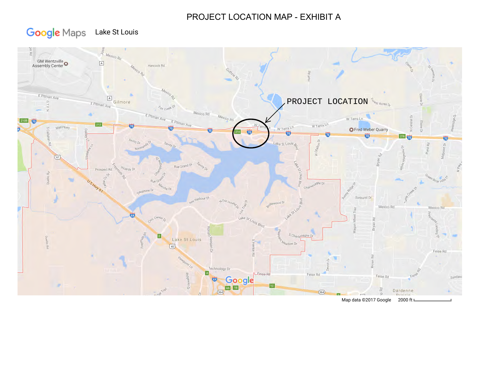# PROJECT LOCATION MAP - EXHIBIT A

#### **Google** Maps Lake St Louis



Map data ©2017 Google 2000 ft L